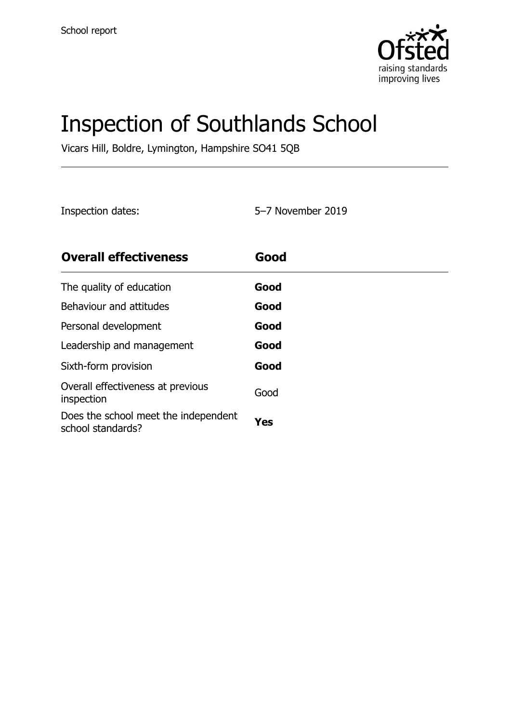

# Inspection of Southlands School

Vicars Hill, Boldre, Lymington, Hampshire SO41 5QB

Inspection dates: 5–7 November 2019

| <b>Overall effectiveness</b>                              | Good |
|-----------------------------------------------------------|------|
| The quality of education                                  | Good |
| Behaviour and attitudes                                   | Good |
| Personal development                                      | Good |
| Leadership and management                                 | Good |
| Sixth-form provision                                      | Good |
| Overall effectiveness at previous<br>inspection           | Good |
| Does the school meet the independent<br>school standards? | Yes  |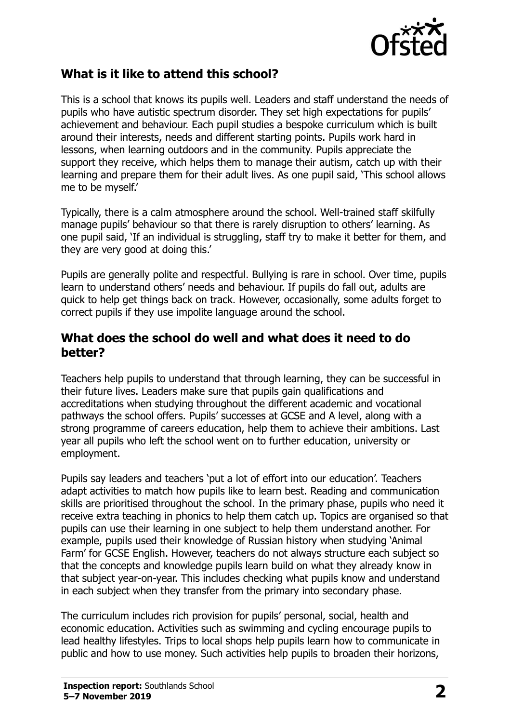

#### **What is it like to attend this school?**

This is a school that knows its pupils well. Leaders and staff understand the needs of pupils who have autistic spectrum disorder. They set high expectations for pupils' achievement and behaviour. Each pupil studies a bespoke curriculum which is built around their interests, needs and different starting points. Pupils work hard in lessons, when learning outdoors and in the community. Pupils appreciate the support they receive, which helps them to manage their autism, catch up with their learning and prepare them for their adult lives. As one pupil said, 'This school allows me to be myself.'

Typically, there is a calm atmosphere around the school. Well-trained staff skilfully manage pupils' behaviour so that there is rarely disruption to others' learning. As one pupil said, 'If an individual is struggling, staff try to make it better for them, and they are very good at doing this.'

Pupils are generally polite and respectful. Bullying is rare in school. Over time, pupils learn to understand others' needs and behaviour. If pupils do fall out, adults are quick to help get things back on track. However, occasionally, some adults forget to correct pupils if they use impolite language around the school.

#### **What does the school do well and what does it need to do better?**

Teachers help pupils to understand that through learning, they can be successful in their future lives. Leaders make sure that pupils gain qualifications and accreditations when studying throughout the different academic and vocational pathways the school offers. Pupils' successes at GCSE and A level, along with a strong programme of careers education, help them to achieve their ambitions. Last year all pupils who left the school went on to further education, university or employment.

Pupils say leaders and teachers 'put a lot of effort into our education'. Teachers adapt activities to match how pupils like to learn best. Reading and communication skills are prioritised throughout the school. In the primary phase, pupils who need it receive extra teaching in phonics to help them catch up. Topics are organised so that pupils can use their learning in one subject to help them understand another. For example, pupils used their knowledge of Russian history when studying 'Animal Farm' for GCSE English. However, teachers do not always structure each subject so that the concepts and knowledge pupils learn build on what they already know in that subject year-on-year. This includes checking what pupils know and understand in each subject when they transfer from the primary into secondary phase.

The curriculum includes rich provision for pupils' personal, social, health and economic education. Activities such as swimming and cycling encourage pupils to lead healthy lifestyles. Trips to local shops help pupils learn how to communicate in public and how to use money. Such activities help pupils to broaden their horizons,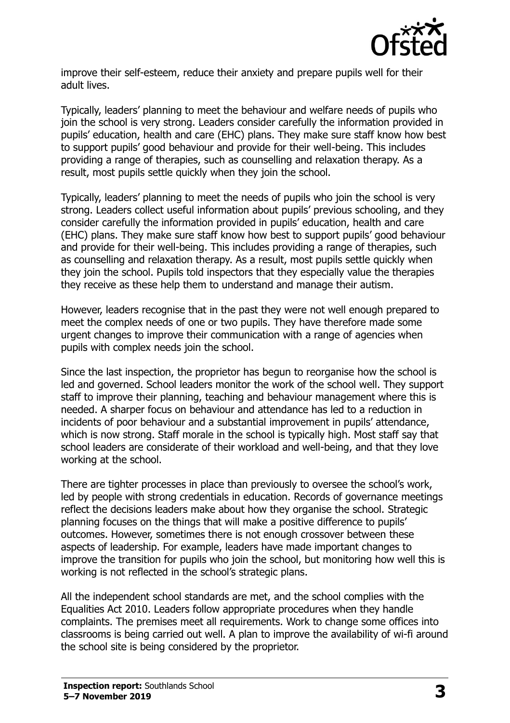

improve their self-esteem, reduce their anxiety and prepare pupils well for their adult lives.

Typically, leaders' planning to meet the behaviour and welfare needs of pupils who join the school is very strong. Leaders consider carefully the information provided in pupils' education, health and care (EHC) plans. They make sure staff know how best to support pupils' good behaviour and provide for their well-being. This includes providing a range of therapies, such as counselling and relaxation therapy. As a result, most pupils settle quickly when they join the school.

Typically, leaders' planning to meet the needs of pupils who join the school is very strong. Leaders collect useful information about pupils' previous schooling, and they consider carefully the information provided in pupils' education, health and care (EHC) plans. They make sure staff know how best to support pupils' good behaviour and provide for their well-being. This includes providing a range of therapies, such as counselling and relaxation therapy. As a result, most pupils settle quickly when they join the school. Pupils told inspectors that they especially value the therapies they receive as these help them to understand and manage their autism.

However, leaders recognise that in the past they were not well enough prepared to meet the complex needs of one or two pupils. They have therefore made some urgent changes to improve their communication with a range of agencies when pupils with complex needs join the school.

Since the last inspection, the proprietor has begun to reorganise how the school is led and governed. School leaders monitor the work of the school well. They support staff to improve their planning, teaching and behaviour management where this is needed. A sharper focus on behaviour and attendance has led to a reduction in incidents of poor behaviour and a substantial improvement in pupils' attendance, which is now strong. Staff morale in the school is typically high. Most staff say that school leaders are considerate of their workload and well-being, and that they love working at the school.

There are tighter processes in place than previously to oversee the school's work, led by people with strong credentials in education. Records of governance meetings reflect the decisions leaders make about how they organise the school. Strategic planning focuses on the things that will make a positive difference to pupils' outcomes. However, sometimes there is not enough crossover between these aspects of leadership. For example, leaders have made important changes to improve the transition for pupils who join the school, but monitoring how well this is working is not reflected in the school's strategic plans.

All the independent school standards are met, and the school complies with the Equalities Act 2010. Leaders follow appropriate procedures when they handle complaints. The premises meet all requirements. Work to change some offices into classrooms is being carried out well. A plan to improve the availability of wi-fi around the school site is being considered by the proprietor.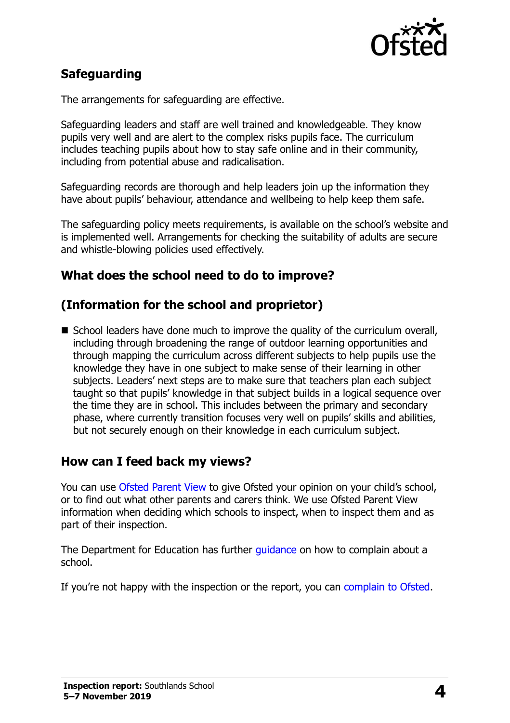

## **Safeguarding**

The arrangements for safeguarding are effective.

Safeguarding leaders and staff are well trained and knowledgeable. They know pupils very well and are alert to the complex risks pupils face. The curriculum includes teaching pupils about how to stay safe online and in their community, including from potential abuse and radicalisation.

Safeguarding records are thorough and help leaders join up the information they have about pupils' behaviour, attendance and wellbeing to help keep them safe.

The safeguarding policy meets requirements, is available on the school's website and is implemented well. Arrangements for checking the suitability of adults are secure and whistle-blowing policies used effectively.

#### **What does the school need to do to improve?**

### **(Information for the school and proprietor)**

■ School leaders have done much to improve the quality of the curriculum overall, including through broadening the range of outdoor learning opportunities and through mapping the curriculum across different subjects to help pupils use the knowledge they have in one subject to make sense of their learning in other subjects. Leaders' next steps are to make sure that teachers plan each subject taught so that pupils' knowledge in that subject builds in a logical sequence over the time they are in school. This includes between the primary and secondary phase, where currently transition focuses very well on pupils' skills and abilities, but not securely enough on their knowledge in each curriculum subject.

#### **How can I feed back my views?**

You can use [Ofsted Parent View](http://parentview.ofsted.gov.uk/) to give Ofsted your opinion on your child's school, or to find out what other parents and carers think. We use Ofsted Parent View information when deciding which schools to inspect, when to inspect them and as part of their inspection.

The Department for Education has further quidance on how to complain about a school.

If you're not happy with the inspection or the report, you can [complain to Ofsted.](http://www.gov.uk/complain-ofsted-report)

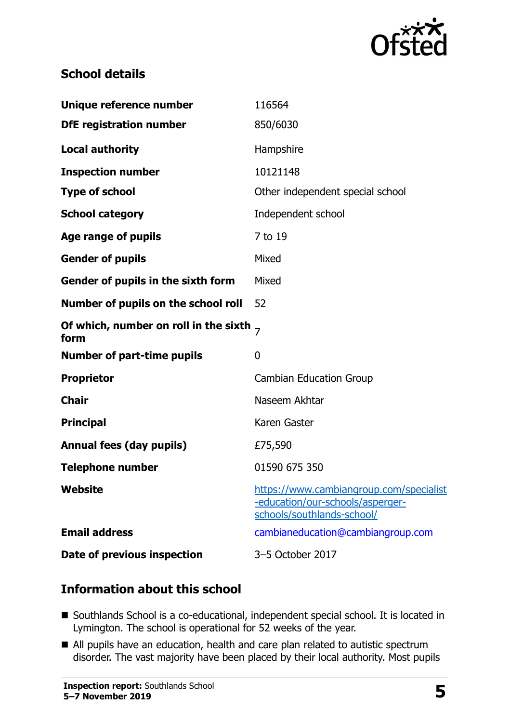

#### **School details**

| Unique reference number                            | 116564                                                                                                    |
|----------------------------------------------------|-----------------------------------------------------------------------------------------------------------|
| <b>DfE registration number</b>                     | 850/6030                                                                                                  |
| <b>Local authority</b>                             | Hampshire                                                                                                 |
| <b>Inspection number</b>                           | 10121148                                                                                                  |
| <b>Type of school</b>                              | Other independent special school                                                                          |
| <b>School category</b>                             | Independent school                                                                                        |
| Age range of pupils                                | 7 to 19                                                                                                   |
| <b>Gender of pupils</b>                            | Mixed                                                                                                     |
| Gender of pupils in the sixth form                 | Mixed                                                                                                     |
| Number of pupils on the school roll                | 52                                                                                                        |
| Of which, number on roll in the sixth $_7$<br>form |                                                                                                           |
| <b>Number of part-time pupils</b>                  | 0                                                                                                         |
| <b>Proprietor</b>                                  | <b>Cambian Education Group</b>                                                                            |
| <b>Chair</b>                                       | Naseem Akhtar                                                                                             |
| <b>Principal</b>                                   | Karen Gaster                                                                                              |
| <b>Annual fees (day pupils)</b>                    | £75,590                                                                                                   |
| <b>Telephone number</b>                            | 01590 675 350                                                                                             |
| Website                                            | https://www.cambiangroup.com/specialist<br>-education/our-schools/asperger-<br>schools/southlands-school/ |
| <b>Email address</b>                               | cambianeducation@cambiangroup.com                                                                         |
| Date of previous inspection                        | 3-5 October 2017                                                                                          |

### **Information about this school**

- Southlands School is a co-educational, independent special school. It is located in Lymington. The school is operational for 52 weeks of the year.
- All pupils have an education, health and care plan related to autistic spectrum disorder. The vast majority have been placed by their local authority. Most pupils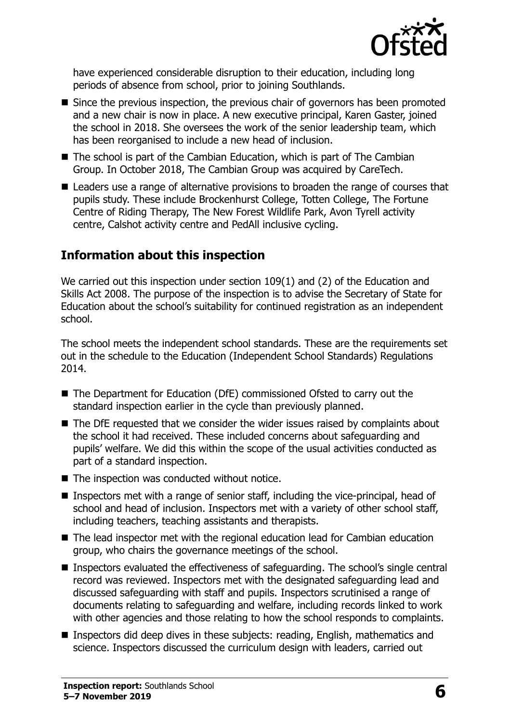

have experienced considerable disruption to their education, including long periods of absence from school, prior to joining Southlands.

- Since the previous inspection, the previous chair of governors has been promoted and a new chair is now in place. A new executive principal, Karen Gaster, joined the school in 2018. She oversees the work of the senior leadership team, which has been reorganised to include a new head of inclusion.
- The school is part of the Cambian Education, which is part of The Cambian Group. In October 2018, The Cambian Group was acquired by CareTech.
- Leaders use a range of alternative provisions to broaden the range of courses that pupils study. These include Brockenhurst College, Totten College, The Fortune Centre of Riding Therapy, The New Forest Wildlife Park, Avon Tyrell activity centre, Calshot activity centre and PedAll inclusive cycling.

#### **Information about this inspection**

We carried out this inspection under section 109(1) and (2) of the Education and Skills Act 2008. The purpose of the inspection is to advise the Secretary of State for Education about the school's suitability for continued registration as an independent school.

The school meets the independent school standards. These are the requirements set out in the schedule to the Education (Independent School Standards) Regulations 2014.

- The Department for Education (DfE) commissioned Ofsted to carry out the standard inspection earlier in the cycle than previously planned.
- The DfE requested that we consider the wider issues raised by complaints about the school it had received. These included concerns about safeguarding and pupils' welfare. We did this within the scope of the usual activities conducted as part of a standard inspection.
- The inspection was conducted without notice.
- Inspectors met with a range of senior staff, including the vice-principal, head of school and head of inclusion. Inspectors met with a variety of other school staff, including teachers, teaching assistants and therapists.
- The lead inspector met with the regional education lead for Cambian education group, who chairs the governance meetings of the school.
- Inspectors evaluated the effectiveness of safeguarding. The school's single central record was reviewed. Inspectors met with the designated safeguarding lead and discussed safeguarding with staff and pupils. Inspectors scrutinised a range of documents relating to safeguarding and welfare, including records linked to work with other agencies and those relating to how the school responds to complaints.
- Inspectors did deep dives in these subjects: reading, English, mathematics and science. Inspectors discussed the curriculum design with leaders, carried out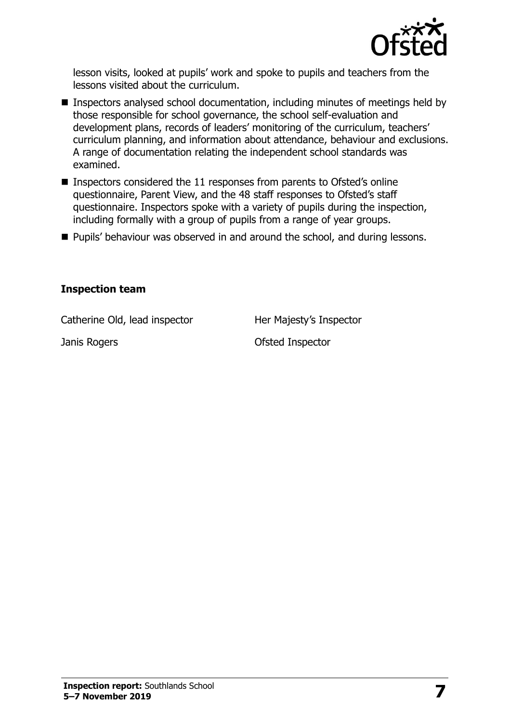

lesson visits, looked at pupils' work and spoke to pupils and teachers from the lessons visited about the curriculum.

- Inspectors analysed school documentation, including minutes of meetings held by those responsible for school governance, the school self-evaluation and development plans, records of leaders' monitoring of the curriculum, teachers' curriculum planning, and information about attendance, behaviour and exclusions. A range of documentation relating the independent school standards was examined.
- Inspectors considered the 11 responses from parents to Ofsted's online questionnaire, Parent View, and the 48 staff responses to Ofsted's staff questionnaire. Inspectors spoke with a variety of pupils during the inspection, including formally with a group of pupils from a range of year groups.
- Pupils' behaviour was observed in and around the school, and during lessons.

#### **Inspection team**

Catherine Old, lead inspector **Her Majesty's Inspector** 

Janis Rogers **Contract Contract Contract Contract Contract Contract Contract Contract Contract Contract Contract Contract Contract Contract Contract Contract Contract Contract Contract Contract Contract Contract Contract C**